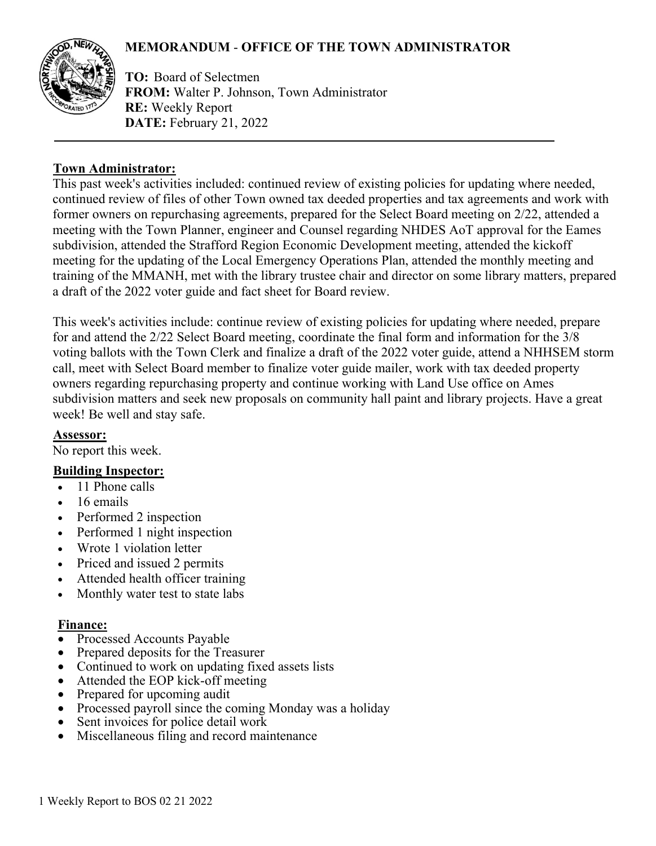# **MEMORANDUM** - **OFFICE OF THE TOWN ADMINISTRATOR**



**TO:** Board of Selectmen **FROM:** Walter P. Johnson, Town Administrator **RE:** Weekly Report **DATE:** February 21, 2022

### **Town Administrator:**

This past week's activities included: continued review of existing policies for updating where needed, continued review of files of other Town owned tax deeded properties and tax agreements and work with former owners on repurchasing agreements, prepared for the Select Board meeting on 2/22, attended a meeting with the Town Planner, engineer and Counsel regarding NHDES AoT approval for the Eames subdivision, attended the Strafford Region Economic Development meeting, attended the kickoff meeting for the updating of the Local Emergency Operations Plan, attended the monthly meeting and training of the MMANH, met with the library trustee chair and director on some library matters, prepared a draft of the 2022 voter guide and fact sheet for Board review.

This week's activities include: continue review of existing policies for updating where needed, prepare for and attend the 2/22 Select Board meeting, coordinate the final form and information for the 3/8 voting ballots with the Town Clerk and finalize a draft of the 2022 voter guide, attend a NHHSEM storm call, meet with Select Board member to finalize voter guide mailer, work with tax deeded property owners regarding repurchasing property and continue working with Land Use office on Ames subdivision matters and seek new proposals on community hall paint and library projects. Have a great week! Be well and stay safe.

### **Assessor:**

No report this week.

## **Building Inspector:**

- 11 Phone calls
- 16 emails
- Performed 2 inspection
- Performed 1 night inspection
- Wrote 1 violation letter
- Priced and issued 2 permits
- Attended health officer training
- Monthly water test to state labs

### **Finance:**

- Processed Accounts Payable
- Prepared deposits for the Treasurer
- Continued to work on updating fixed assets lists
- Attended the EOP kick-off meeting
- Prepared for upcoming audit
- Processed payroll since the coming Monday was a holiday
- Sent invoices for police detail work
- Miscellaneous filing and record maintenance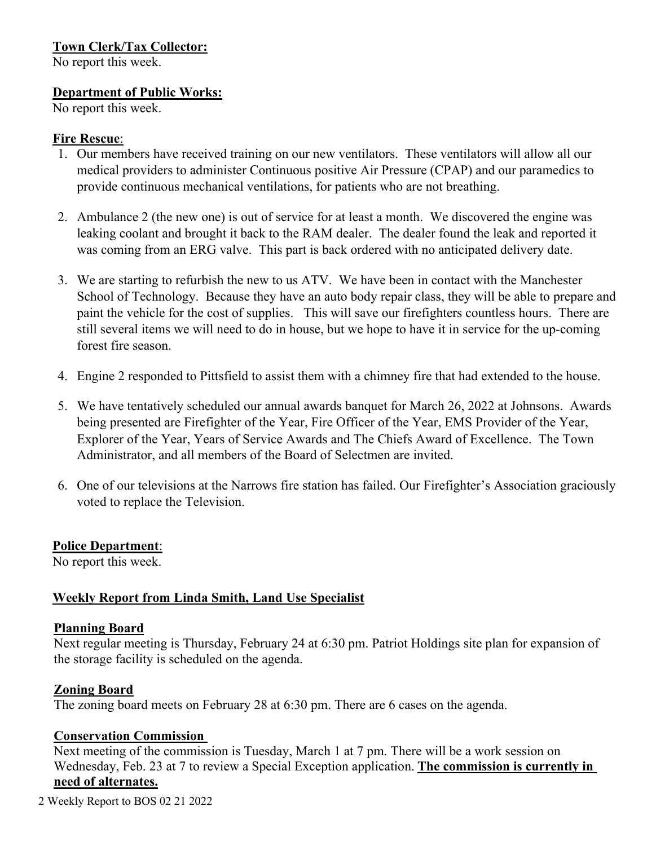# **Town Clerk/Tax Collector:**

No report this week.

### **Department of Public Works:**

No report this week.

### **Fire Rescue**:

- 1. Our members have received training on our new ventilators. These ventilators will allow all our medical providers to administer Continuous positive Air Pressure (CPAP) and our paramedics to provide continuous mechanical ventilations, for patients who are not breathing.
- 2. Ambulance 2 (the new one) is out of service for at least a month. We discovered the engine was leaking coolant and brought it back to the RAM dealer. The dealer found the leak and reported it was coming from an ERG valve. This part is back ordered with no anticipated delivery date.
- 3. We are starting to refurbish the new to us ATV. We have been in contact with the Manchester School of Technology. Because they have an auto body repair class, they will be able to prepare and paint the vehicle for the cost of supplies. This will save our firefighters countless hours. There are still several items we will need to do in house, but we hope to have it in service for the up-coming forest fire season.
- 4. Engine 2 responded to Pittsfield to assist them with a chimney fire that had extended to the house.
- 5. We have tentatively scheduled our annual awards banquet for March 26, 2022 at Johnsons. Awards being presented are Firefighter of the Year, Fire Officer of the Year, EMS Provider of the Year, Explorer of the Year, Years of Service Awards and The Chiefs Award of Excellence. The Town Administrator, and all members of the Board of Selectmen are invited.
- 6. One of our televisions at the Narrows fire station has failed. Our Firefighter's Association graciously voted to replace the Television.

## **Police Department**:

No report this week.

## **Weekly Report from Linda Smith, Land Use Specialist**

### **Planning Board**

Next regular meeting is Thursday, February 24 at 6:30 pm. Patriot Holdings site plan for expansion of the storage facility is scheduled on the agenda.

## **Zoning Board**

The zoning board meets on February 28 at 6:30 pm. There are 6 cases on the agenda.

## **Conservation Commission**

Next meeting of the commission is Tuesday, March 1 at 7 pm. There will be a work session on Wednesday, Feb. 23 at 7 to review a Special Exception application. **The commission is currently in need of alternates.**

2 Weekly Report to BOS 02 21 2022